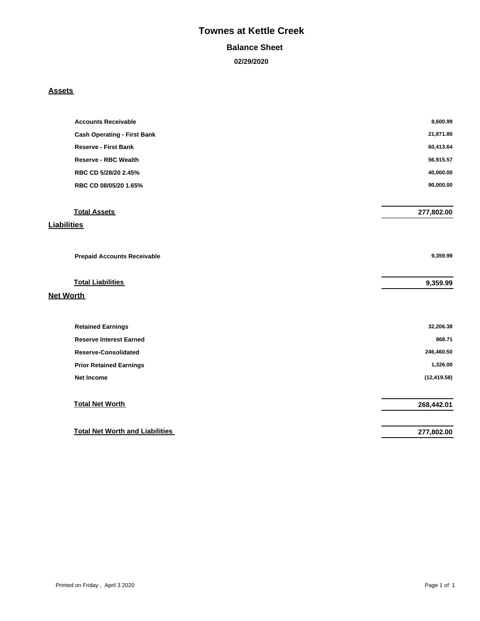# **Townes at Kettle Creek**

#### **Balance Sheet**

 **02/29/2020**

#### **Assets**

| <b>Accounts Receivable</b>             | 8,600.99     |
|----------------------------------------|--------------|
| <b>Cash Operating - First Bank</b>     | 21,871.80    |
| <b>Reserve - First Bank</b>            | 60,413.64    |
| <b>Reserve - RBC Wealth</b>            | 56,915.57    |
| RBC CD 5/28/20 2.45%                   | 40,000.00    |
| RBC CD 08/05/20 1.65%                  | 90,000.00    |
|                                        |              |
| <b>Total Assets</b>                    | 277,802.00   |
| <b>Liabilities</b>                     |              |
|                                        |              |
| <b>Prepaid Accounts Receivable</b>     | 9,359.99     |
| <b>Total Liabilities</b>               | 9,359.99     |
| <b>Net Worth</b>                       |              |
| <b>Retained Earnings</b>               | 32,206.38    |
| <b>Reserve Interest Earned</b>         | 868.71       |
| <b>Reserve-Consolidated</b>            | 246,460.50   |
| <b>Prior Retained Earnings</b>         | 1,326.00     |
| <b>Net Income</b>                      | (12, 419.58) |
|                                        |              |
| <b>Total Net Worth</b>                 | 268,442.01   |
|                                        |              |
| <b>Total Net Worth and Liabilities</b> | 277,802.00   |
|                                        |              |